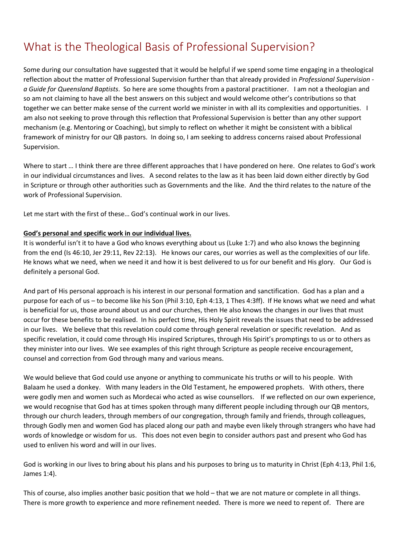# What is the Theological Basis of Professional Supervision?

Some during our consultation have suggested that it would be helpful if we spend some time engaging in a theological reflection about the matter of Professional Supervision further than that already provided in *Professional Supervision a Guide for Queensland Baptists*. So here are some thoughts from a pastoral practitioner. I am not a theologian and so am not claiming to have all the best answers on this subject and would welcome other's contributions so that together we can better make sense of the current world we minister in with all its complexities and opportunities. I am also not seeking to prove through this reflection that Professional Supervision is better than any other support mechanism (e.g. Mentoring or Coaching), but simply to reflect on whether it might be consistent with a biblical framework of ministry for our QB pastors. In doing so, I am seeking to address concerns raised about Professional Supervision.

Where to start … I think there are three different approaches that I have pondered on here. One relates to God's work in our individual circumstances and lives. A second relates to the law as it has been laid down either directly by God in Scripture or through other authorities such as Governments and the like. And the third relates to the nature of the work of Professional Supervision.

Let me start with the first of these… God's continual work in our lives.

#### **God's personal and specific work in our individual lives.**

It is wonderful isn't it to have a God who knows everything about us (Luke 1:7) and who also knows the beginning from the end (Is 46:10, Jer 29:11, Rev 22:13). He knows our cares, our worries as well as the complexities of our life. He knows what we need, when we need it and how it is best delivered to us for our benefit and His glory. Our God is definitely a personal God.

And part of His personal approach is his interest in our personal formation and sanctification. God has a plan and a purpose for each of us – to become like his Son (Phil 3:10, Eph 4:13, 1 Thes 4:3ff). If He knows what we need and what is beneficial for us, those around about us and our churches, then He also knows the changes in our lives that must occur for these benefits to be realised. In his perfect time, His Holy Spirit reveals the issues that need to be addressed in our lives. We believe that this revelation could come through general revelation or specific revelation. And as specific revelation, it could come through His inspired Scriptures, through His Spirit's promptings to us or to others as they minister into our lives. We see examples of this right through Scripture as people receive encouragement, counsel and correction from God through many and various means.

We would believe that God could use anyone or anything to communicate his truths or will to his people. With Balaam he used a donkey. With many leaders in the Old Testament, he empowered prophets. With others, there were godly men and women such as Mordecai who acted as wise counsellors. If we reflected on our own experience, we would recognise that God has at times spoken through many different people including through our QB mentors, through our church leaders, through members of our congregation, through family and friends, through colleagues, through Godly men and women God has placed along our path and maybe even likely through strangers who have had words of knowledge or wisdom for us. This does not even begin to consider authors past and present who God has used to enliven his word and will in our lives.

God is working in our lives to bring about his plans and his purposes to bring us to maturity in Christ (Eph 4:13, Phil 1:6, James 1:4).

This of course, also implies another basic position that we hold – that we are not mature or complete in all things. There is more growth to experience and more refinement needed. There is more we need to repent of. There are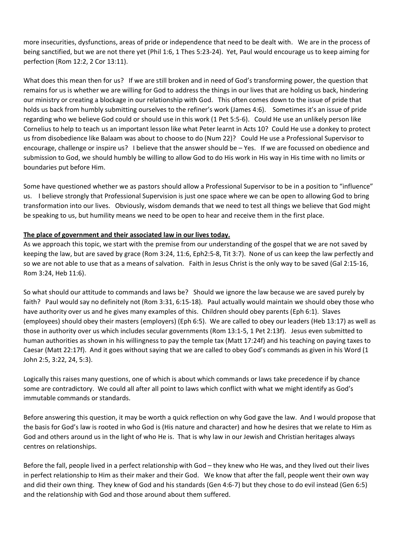more insecurities, dysfunctions, areas of pride or independence that need to be dealt with. We are in the process of being sanctified, but we are not there yet (Phil 1:6, 1 Thes 5:23-24). Yet, Paul would encourage us to keep aiming for perfection (Rom 12:2, 2 Cor 13:11).

What does this mean then for us? If we are still broken and in need of God's transforming power, the question that remains for us is whether we are willing for God to address the things in our lives that are holding us back, hindering our ministry or creating a blockage in our relationship with God. This often comes down to the issue of pride that holds us back from humbly submitting ourselves to the refiner's work (James 4:6). Sometimes it's an issue of pride regarding who we believe God could or should use in this work (1 Pet 5:5-6). Could He use an unlikely person like Cornelius to help to teach us an important lesson like what Peter learnt in Acts 10? Could He use a donkey to protect us from disobedience like Balaam was about to choose to do (Num 22)? Could He use a Professional Supervisor to encourage, challenge or inspire us? I believe that the answer should be – Yes. If we are focussed on obedience and submission to God, we should humbly be willing to allow God to do His work in His way in His time with no limits or boundaries put before Him.

Some have questioned whether we as pastors should allow a Professional Supervisor to be in a position to "influence" us. I believe strongly that Professional Supervision is just one space where we can be open to allowing God to bring transformation into our lives. Obviously, wisdom demands that we need to test all things we believe that God might be speaking to us, but humility means we need to be open to hear and receive them in the first place.

### **The place of government and their associated law in our lives today.**

As we approach this topic, we start with the premise from our understanding of the gospel that we are not saved by keeping the law, but are saved by grace (Rom 3:24, 11:6, Eph2:5-8, Tit 3:7). None of us can keep the law perfectly and so we are not able to use that as a means of salvation. Faith in Jesus Christ is the only way to be saved (Gal 2:15-16, Rom 3:24, Heb 11:6).

So what should our attitude to commands and laws be? Should we ignore the law because we are saved purely by faith? Paul would say no definitely not (Rom 3:31, 6:15-18). Paul actually would maintain we should obey those who have authority over us and he gives many examples of this. Children should obey parents (Eph 6:1). Slaves (employees) should obey their masters (employers) (Eph 6:5). We are called to obey our leaders (Heb 13:17) as well as those in authority over us which includes secular governments (Rom 13:1-5, 1 Pet 2:13f). Jesus even submitted to human authorities as shown in his willingness to pay the temple tax (Matt 17:24f) and his teaching on paying taxes to Caesar (Matt 22:17f). And it goes without saying that we are called to obey God's commands as given in his Word (1 John 2:5, 3:22, 24, 5:3).

Logically this raises many questions, one of which is about which commands or laws take precedence if by chance some are contradictory. We could all after all point to laws which conflict with what we might identify as God's immutable commands or standards.

Before answering this question, it may be worth a quick reflection on why God gave the law. And I would propose that the basis for God's law is rooted in who God is (His nature and character) and how he desires that we relate to Him as God and others around us in the light of who He is. That is why law in our Jewish and Christian heritages always centres on relationships.

Before the fall, people lived in a perfect relationship with God – they knew who He was, and they lived out their lives in perfect relationship to Him as their maker and their God. We know that after the fall, people went their own way and did their own thing. They knew of God and his standards (Gen 4:6-7) but they chose to do evil instead (Gen 6:5) and the relationship with God and those around about them suffered.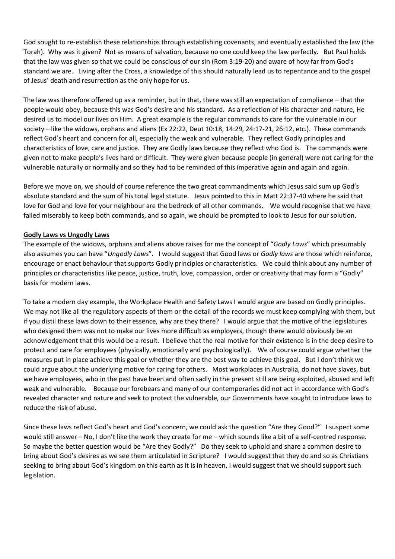God sought to re-establish these relationships through establishing covenants, and eventually established the law (the Torah). Why was it given? Not as means of salvation, because no one could keep the law perfectly. But Paul holds that the law was given so that we could be conscious of our sin (Rom 3:19-20) and aware of how far from God's standard we are. Living after the Cross, a knowledge of this should naturally lead us to repentance and to the gospel of Jesus' death and resurrection as the only hope for us.

The law was therefore offered up as a reminder, but in that, there was still an expectation of compliance – that the people would obey, because this was God's desire and his standard. As a reflection of His character and nature, He desired us to model our lives on Him. A great example is the regular commands to care for the vulnerable in our society – like the widows, orphans and aliens (Ex 22:22, Deut 10:18, 14:29, 24:17-21, 26:12, etc.). These commands reflect God's heart and concern for all, especially the weak and vulnerable. They reflect Godly principles and characteristics of love, care and justice. They are Godly laws because they reflect who God is. The commands were given not to make people's lives hard or difficult. They were given because people (in general) were not caring for the vulnerable naturally or normally and so they had to be reminded of this imperative again and again and again.

Before we move on, we should of course reference the two great commandments which Jesus said sum up God's absolute standard and the sum of his total legal statute. Jesus pointed to this in Matt 22:37-40 where he said that love for God and love for your neighbour are the bedrock of all other commands. We would recognise that we have failed miserably to keep both commands, and so again, we should be prompted to look to Jesus for our solution.

### **Godly Laws vs Ungodly Laws**

The example of the widows, orphans and aliens above raises for me the concept of "*Godly Laws*" which presumably also assumes you can have "*Ungodly Laws*". I would suggest that Good laws or *Godly laws* are those which reinforce, encourage or enact behaviour that supports Godly principles or characteristics. We could think about any number of principles or characteristics like peace, justice, truth, love, compassion, order or creativity that may form a "Godly" basis for modern laws.

To take a modern day example, the Workplace Health and Safety Laws I would argue are based on Godly principles. We may not like all the regulatory aspects of them or the detail of the records we must keep complying with them, but if you distil these laws down to their essence, why are they there? I would argue that the motive of the legislatures who designed them was not to make our lives more difficult as employers, though there would obviously be an acknowledgement that this would be a result. I believe that the real motive for their existence is in the deep desire to protect and care for employees (physically, emotionally and psychologically). We of course could argue whether the measures put in place achieve this goal or whether they are the best way to achieve this goal. But I don't think we could argue about the underlying motive for caring for others. Most workplaces in Australia, do not have slaves, but we have employees, who in the past have been and often sadly in the present still are being exploited, abused and left weak and vulnerable. Because our forebears and many of our contemporaries did not act in accordance with God's revealed character and nature and seek to protect the vulnerable, our Governments have sought to introduce laws to reduce the risk of abuse.

Since these laws reflect God's heart and God's concern, we could ask the question "Are they Good?" I suspect some would still answer – No, I don't like the work they create for me – which sounds like a bit of a self-centred response. So maybe the better question would be "Are they Godly?" Do they seek to uphold and share a common desire to bring about God's desires as we see them articulated in Scripture? I would suggest that they do and so as Christians seeking to bring about God's kingdom on this earth as it is in heaven, I would suggest that we should support such legislation.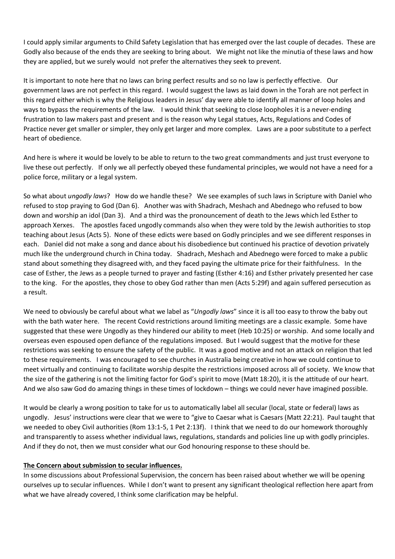I could apply similar arguments to Child Safety Legislation that has emerged over the last couple of decades. These are Godly also because of the ends they are seeking to bring about. We might not like the minutia of these laws and how they are applied, but we surely would not prefer the alternatives they seek to prevent.

It is important to note here that no laws can bring perfect results and so no law is perfectly effective. Our government laws are not perfect in this regard. I would suggest the laws as laid down in the Torah are not perfect in this regard either which is why the Religious leaders in Jesus' day were able to identify all manner of loop holes and ways to bypass the requirements of the law. I would think that seeking to close loopholes it is a never-ending frustration to law makers past and present and is the reason why Legal statues, Acts, Regulations and Codes of Practice never get smaller or simpler, they only get larger and more complex. Laws are a poor substitute to a perfect heart of obedience.

And here is where it would be lovely to be able to return to the two great commandments and just trust everyone to live these out perfectly. If only we all perfectly obeyed these fundamental principles, we would not have a need for a police force, military or a legal system.

So what about *ungodly laws*? How do we handle these? We see examples of such laws in Scripture with Daniel who refused to stop praying to God (Dan 6). Another was with Shadrach, Meshach and Abednego who refused to bow down and worship an idol (Dan 3). And a third was the pronouncement of death to the Jews which led Esther to approach Xerxes. The apostles faced ungodly commands also when they were told by the Jewish authorities to stop teaching about Jesus (Acts 5). None of these edicts were based on Godly principles and we see different responses in each. Daniel did not make a song and dance about his disobedience but continued his practice of devotion privately much like the underground church in China today. Shadrach, Meshach and Abednego were forced to make a public stand about something they disagreed with, and they faced paying the ultimate price for their faithfulness. In the case of Esther, the Jews as a people turned to prayer and fasting (Esther 4:16) and Esther privately presented her case to the king. For the apostles, they chose to obey God rather than men (Acts 5:29f) and again suffered persecution as a result.

We need to obviously be careful about what we label as "*Ungodly laws*" since it is all too easy to throw the baby out with the bath water here. The recent Covid restrictions around limiting meetings are a classic example. Some have suggested that these were Ungodly as they hindered our ability to meet (Heb 10:25) or worship. And some locally and overseas even espoused open defiance of the regulations imposed. But I would suggest that the motive for these restrictions was seeking to ensure the safety of the public. It was a good motive and not an attack on religion that led to these requirements. I was encouraged to see churches in Australia being creative in how we could continue to meet virtually and continuing to facilitate worship despite the restrictions imposed across all of society. We know that the size of the gathering is not the limiting factor for God's spirit to move (Matt 18:20), it is the attitude of our heart. And we also saw God do amazing things in these times of lockdown – things we could never have imagined possible.

It would be clearly a wrong position to take for us to automatically label all secular (local, state or federal) laws as ungodly. Jesus' instructions were clear that we were to "give to Caesar what is Caesars (Matt 22:21). Paul taught that we needed to obey Civil authorities (Rom 13:1-5, 1 Pet 2:13f). I think that we need to do our homework thoroughly and transparently to assess whether individual laws, regulations, standards and policies line up with godly principles. And if they do not, then we must consider what our God honouring response to these should be.

### **The Concern about submission to secular influences.**

In some discussions about Professional Supervision, the concern has been raised about whether we will be opening ourselves up to secular influences. While I don't want to present any significant theological reflection here apart from what we have already covered, I think some clarification may be helpful.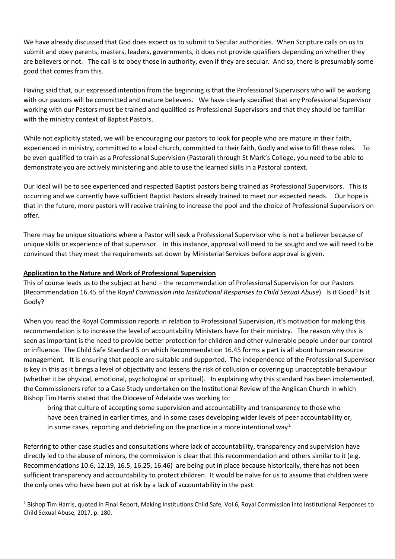We have already discussed that God does expect us to submit to Secular authorities. When Scripture calls on us to submit and obey parents, masters, leaders, governments, it does not provide qualifiers depending on whether they are believers or not. The call is to obey those in authority, even if they are secular. And so, there is presumably some good that comes from this.

Having said that, our expressed intention from the beginning is that the Professional Supervisors who will be working with our pastors will be committed and mature believers. We have clearly specified that any Professional Supervisor working with our Pastors must be trained and qualified as Professional Supervisors and that they should be familiar with the ministry context of Baptist Pastors.

While not explicitly stated, we will be encouraging our pastors to look for people who are mature in their faith, experienced in ministry, committed to a local church, committed to their faith, Godly and wise to fill these roles. To be even qualified to train as a Professional Supervision (Pastoral) through St Mark's College, you need to be able to demonstrate you are actively ministering and able to use the learned skills in a Pastoral context.

Our ideal will be to see experienced and respected Baptist pastors being trained as Professional Supervisors. This is occurring and we currently have sufficient Baptist Pastors already trained to meet our expected needs. Our hope is that in the future, more pastors will receive training to increase the pool and the choice of Professional Supervisors on offer.

There may be unique situations where a Pastor will seek a Professional Supervisor who is not a believer because of unique skills or experience of that supervisor. In this instance, approval will need to be sought and we will need to be convinced that they meet the requirements set down by Ministerial Services before approval is given.

### **Application to the Nature and Work of Professional Supervision**

This of course leads us to the subject at hand – the recommendation of Professional Supervision for our Pastors (Recommendation 16.45 of the *Royal Commission into Institutional Responses to Child Sexual Abuse*). Is it Good? Is it Godly?

When you read the Royal Commission reports in relation to Professional Supervision, it's motivation for making this recommendation is to increase the level of accountability Ministers have for their ministry. The reason why this is seen as important is the need to provide better protection for children and other vulnerable people under our control or influence. The Child Safe Standard 5 on which Recommendation 16.45 forms a part is all about human resource management. It is ensuring that people are suitable and supported. The independence of the Professional Supervisor is key in this as it brings a level of objectivity and lessens the risk of collusion or covering up unacceptable behaviour (whether it be physical, emotional, psychological or spiritual). In explaining why this standard has been implemented, the Commissioners refer to a Case Study undertaken on the Institutional Review of the Anglican Church in which Bishop Tim Harris stated that the Diocese of Adelaide was working to:

bring that culture of accepting some supervision and accountability and transparency to those who have been trained in earlier times, and in some cases developing wider levels of peer accountability or, in some cases, reporting and debriefing on the practice in a more intentional way<sup>[1](#page-4-0)</sup>

Referring to other case studies and consultations where lack of accountability, transparency and supervision have directly led to the abuse of minors, the commission is clear that this recommendation and others similar to it (e.g. Recommendations 10.6, 12.19, 16.5, 16.25, 16.46) are being put in place because historically, there has not been sufficient transparency and accountability to protect children. It would be naïve for us to assume that children were the only ones who have been put at risk by a lack of accountability in the past.

<span id="page-4-0"></span><sup>&</sup>lt;sup>1</sup> Bishop Tim Harris, quoted in Final Report, Making Institutions Child Safe, Vol 6, Royal Commission into Institutional Responses to Child Sexual Abuse, 2017, p. 180.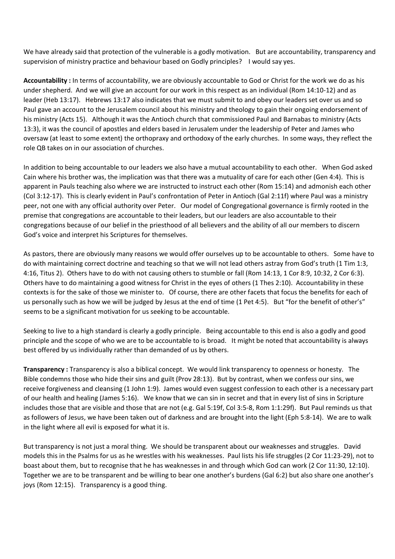We have already said that protection of the vulnerable is a godly motivation. But are accountability, transparency and supervision of ministry practice and behaviour based on Godly principles? I would say yes.

**Accountability :** In terms of accountability, we are obviously accountable to God or Christ for the work we do as his under shepherd. And we will give an account for our work in this respect as an individual (Rom 14:10-12) and as leader (Heb 13:17). Hebrews 13:17 also indicates that we must submit to and obey our leaders set over us and so Paul gave an account to the Jerusalem council about his ministry and theology to gain their ongoing endorsement of his ministry (Acts 15). Although it was the Antioch church that commissioned Paul and Barnabas to ministry (Acts 13:3), it was the council of apostles and elders based in Jerusalem under the leadership of Peter and James who oversaw (at least to some extent) the orthopraxy and orthodoxy of the early churches. In some ways, they reflect the role QB takes on in our association of churches.

In addition to being accountable to our leaders we also have a mutual accountability to each other. When God asked Cain where his brother was, the implication was that there was a mutuality of care for each other (Gen 4:4). This is apparent in Pauls teaching also where we are instructed to instruct each other (Rom 15:14) and admonish each other (Col 3:12-17). This is clearly evident in Paul's confrontation of Peter in Antioch (Gal 2:11f) where Paul was a ministry peer, not one with any official authority over Peter. Our model of Congregational governance is firmly rooted in the premise that congregations are accountable to their leaders, but our leaders are also accountable to their congregations because of our belief in the priesthood of all believers and the ability of all our members to discern God's voice and interpret his Scriptures for themselves.

As pastors, there are obviously many reasons we would offer ourselves up to be accountable to others. Some have to do with maintaining correct doctrine and teaching so that we will not lead others astray from God's truth (1 Tim 1:3, 4:16, Titus 2). Others have to do with not causing others to stumble or fall (Rom 14:13, 1 Cor 8:9, 10:32, 2 Cor 6:3). Others have to do maintaining a good witness for Christ in the eyes of others (1 Thes 2:10). Accountability in these contexts is for the sake of those we minister to. Of course, there are other facets that focus the benefits for each of us personally such as how we will be judged by Jesus at the end of time (1 Pet 4:5). But "for the benefit of other's" seems to be a significant motivation for us seeking to be accountable.

Seeking to live to a high standard is clearly a godly principle. Being accountable to this end is also a godly and good principle and the scope of who we are to be accountable to is broad. It might be noted that accountability is always best offered by us individually rather than demanded of us by others.

**Transparency :** Transparency is also a biblical concept. We would link transparency to openness or honesty. The Bible condemns those who hide their sins and guilt (Prov 28:13). But by contrast, when we confess our sins, we receive forgiveness and cleansing (1 John 1:9). James would even suggest confession to each other is a necessary part of our health and healing (James 5:16). We know that we can sin in secret and that in every list of sins in Scripture includes those that are visible and those that are not (e.g. Gal 5:19f, Col 3:5-8, Rom 1:1:29f). But Paul reminds us that as followers of Jesus, we have been taken out of darkness and are brought into the light (Eph 5:8-14). We are to walk in the light where all evil is exposed for what it is.

But transparency is not just a moral thing. We should be transparent about our weaknesses and struggles. David models this in the Psalms for us as he wrestles with his weaknesses. Paul lists his life struggles (2 Cor 11:23-29), not to boast about them, but to recognise that he has weaknesses in and through which God can work (2 Cor 11:30, 12:10). Together we are to be transparent and be willing to bear one another's burdens (Gal 6:2) but also share one another's joys (Rom 12:15). Transparency is a good thing.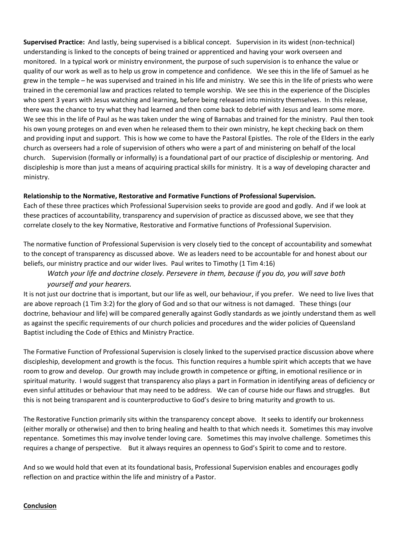**Supervised Practice:** And lastly, being supervised is a biblical concept. Supervision in its widest (non-technical) understanding is linked to the concepts of being trained or apprenticed and having your work overseen and monitored. In a typical work or ministry environment, the purpose of such supervision is to enhance the value or quality of our work as well as to help us grow in competence and confidence. We see this in the life of Samuel as he grew in the temple – he was supervised and trained in his life and ministry. We see this in the life of priests who were trained in the ceremonial law and practices related to temple worship. We see this in the experience of the Disciples who spent 3 years with Jesus watching and learning, before being released into ministry themselves. In this release, there was the chance to try what they had learned and then come back to debrief with Jesus and learn some more. We see this in the life of Paul as he was taken under the wing of Barnabas and trained for the ministry. Paul then took his own young proteges on and even when he released them to their own ministry, he kept checking back on them and providing input and support. This is how we come to have the Pastoral Epistles. The role of the Elders in the early church as overseers had a role of supervision of others who were a part of and ministering on behalf of the local church. Supervision (formally or informally) is a foundational part of our practice of discipleship or mentoring. And discipleship is more than just a means of acquiring practical skills for ministry. It is a way of developing character and ministry.

### **Relationship to the Normative, Restorative and Formative Functions of Professional Supervision.**

Each of these three practices which Professional Supervision seeks to provide are good and godly. And if we look at these practices of accountability, transparency and supervision of practice as discussed above, we see that they correlate closely to the key Normative, Restorative and Formative functions of Professional Supervision.

The normative function of Professional Supervision is very closely tied to the concept of accountability and somewhat to the concept of transparency as discussed above. We as leaders need to be accountable for and honest about our beliefs, our ministry practice and our wider lives. Paul writes to Timothy (1 Tim 4:16)

## *Watch your life and doctrine closely. Persevere in them, because if you do, you will save both yourself and your hearers.*

It is not just our doctrine that is important, but our life as well, our behaviour, if you prefer. We need to live lives that are above reproach (1 Tim 3:2) for the glory of God and so that our witness is not damaged. These things (our doctrine, behaviour and life) will be compared generally against Godly standards as we jointly understand them as well as against the specific requirements of our church policies and procedures and the wider policies of Queensland Baptist including the Code of Ethics and Ministry Practice.

The Formative Function of Professional Supervision is closely linked to the supervised practice discussion above where discipleship, development and growth is the focus. This function requires a humble spirit which accepts that we have room to grow and develop. Our growth may include growth in competence or gifting, in emotional resilience or in spiritual maturity. I would suggest that transparency also plays a part in Formation in identifying areas of deficiency or even sinful attitudes or behaviour that may need to be address. We can of course hide our flaws and struggles. But this is not being transparent and is counterproductive to God's desire to bring maturity and growth to us.

The Restorative Function primarily sits within the transparency concept above. It seeks to identify our brokenness (either morally or otherwise) and then to bring healing and health to that which needs it. Sometimes this may involve repentance. Sometimes this may involve tender loving care. Sometimes this may involve challenge. Sometimes this requires a change of perspective. But it always requires an openness to God's Spirit to come and to restore.

And so we would hold that even at its foundational basis, Professional Supervision enables and encourages godly reflection on and practice within the life and ministry of a Pastor.

### **Conclusion**